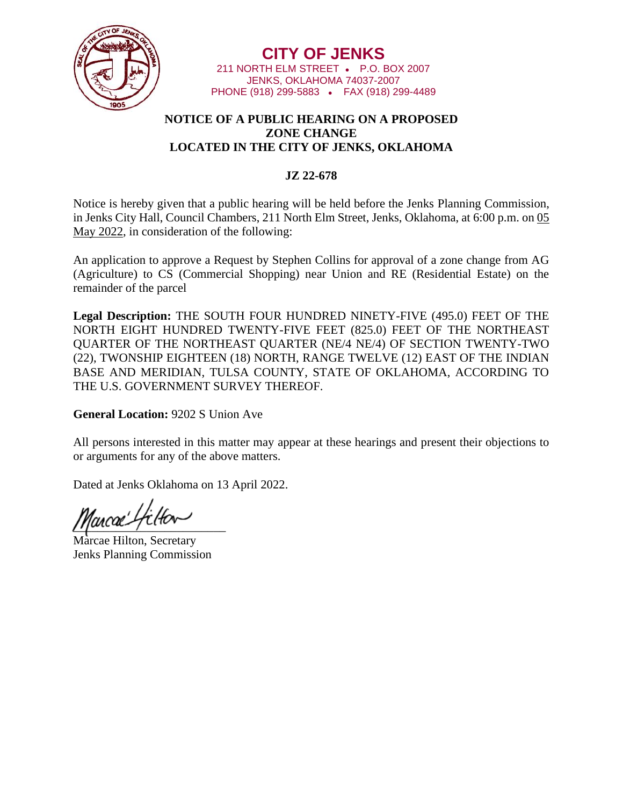

**CITY OF JENKS** 211 NORTH ELM STREET • P.O. BOX 2007 JENKS, OKLAHOMA 74037-2007 PHONE (918) 299-5883 • FAX (918) 299-4489

## **NOTICE OF A PUBLIC HEARING ON A PROPOSED ZONE CHANGE LOCATED IN THE CITY OF JENKS, OKLAHOMA**

## **JZ 22-678**

Notice is hereby given that a public hearing will be held before the Jenks Planning Commission, in Jenks City Hall, Council Chambers, 211 North Elm Street, Jenks, Oklahoma, at 6:00 p.m. on 05 May 2022, in consideration of the following:

An application to approve a Request by Stephen Collins for approval of a zone change from AG (Agriculture) to CS (Commercial Shopping) near Union and RE (Residential Estate) on the remainder of the parcel

**Legal Description:** THE SOUTH FOUR HUNDRED NINETY-FIVE (495.0) FEET OF THE NORTH EIGHT HUNDRED TWENTY-FIVE FEET (825.0) FEET OF THE NORTHEAST QUARTER OF THE NORTHEAST QUARTER (NE/4 NE/4) OF SECTION TWENTY-TWO (22), TWONSHIP EIGHTEEN (18) NORTH, RANGE TWELVE (12) EAST OF THE INDIAN BASE AND MERIDIAN, TULSA COUNTY, STATE OF OKLAHOMA, ACCORDING TO THE U.S. GOVERNMENT SURVEY THEREOF.

**General Location:** 9202 S Union Ave

All persons interested in this matter may appear at these hearings and present their objections to or arguments for any of the above matters.

Dated at Jenks Oklahoma on 13 April 2022.

 $\mu$ 

Marcae Hilton, Secretary Jenks Planning Commission